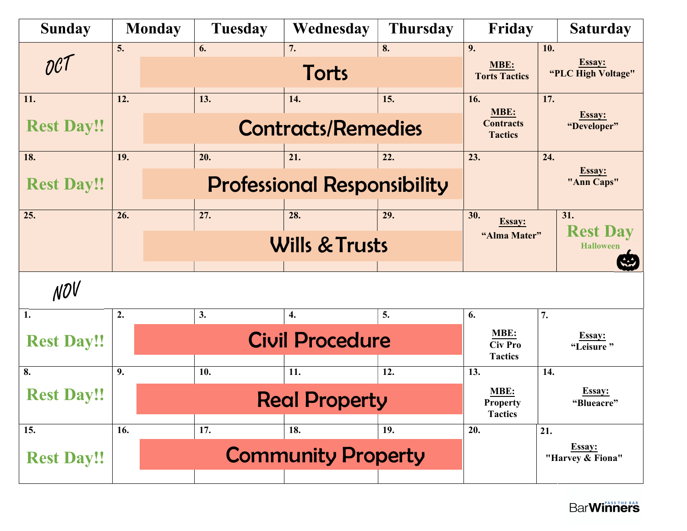| <b>Sunday</b>                | <b>Monday</b> | <b>Tuesday</b>                     | Wednesday                          | <b>Thursday</b>             | Friday                                    | <b>Saturday</b>                      |
|------------------------------|---------------|------------------------------------|------------------------------------|-----------------------------|-------------------------------------------|--------------------------------------|
| $\mathcal{OC}^{\mathcal{T}}$ | 5.            | 6.                                 | 7.<br>Torts                        | 8.                          | 9.<br>MBE:<br><b>Torts Tactics</b>        | 10.<br>Essay:<br>"PLC High Voltage"  |
| 11.                          | 12.           | 13.                                | 14.                                | 15.                         | 16.<br>MBE:                               | 17.                                  |
| <b>Rest Day!!</b>            |               | <b>Contracts/Remedies</b>          | <b>Contracts</b><br><b>Tactics</b> | Essay:<br>"Developer"       |                                           |                                      |
| 18.                          | 19.           | 20.                                | 21.                                | 22.                         | 23.                                       | 24.                                  |
| <b>Rest Day!!</b>            |               | <b>Professional Responsibility</b> |                                    | <b>Essay:</b><br>"Ann Caps" |                                           |                                      |
| 25.                          | 26.           | 27.                                | 28.                                | 29.                         | 30.<br>Essay:                             | 31.                                  |
|                              |               |                                    | <b>Wills &amp; Trusts</b>          |                             | "Alma Mater"                              | <b>Rest Day</b><br><b>Halloween</b>  |
| NOV                          |               |                                    |                                    |                             |                                           |                                      |
| 1.                           | 2.            | 3.                                 | 4.                                 | 5.                          | 6.<br>MBE:                                | 7.                                   |
| <b>Rest Day!!</b>            |               | <b>Civil Procedure</b>             |                                    |                             |                                           | $rac{\text{Essay:}}{\text{Leisure}}$ |
| 8.                           | 9.            | 10.                                | 11.                                | 12.                         | 13.                                       | 14.                                  |
| <b>Rest Day!!</b>            |               |                                    | <b>Real Property</b>               |                             | MBE:<br><b>Property</b><br><b>Tactics</b> | Essay:<br>"Blueacre"                 |
| 15.                          | 16.           | 17.                                | 18.                                | 19.                         | 20.                                       | 21.                                  |
| <b>Rest Day!!</b>            |               |                                    | <b>Community Property</b>          |                             |                                           | Essay:<br>"Harvey & Fiona"           |
|                              |               |                                    |                                    |                             |                                           |                                      |

**BarWinners**